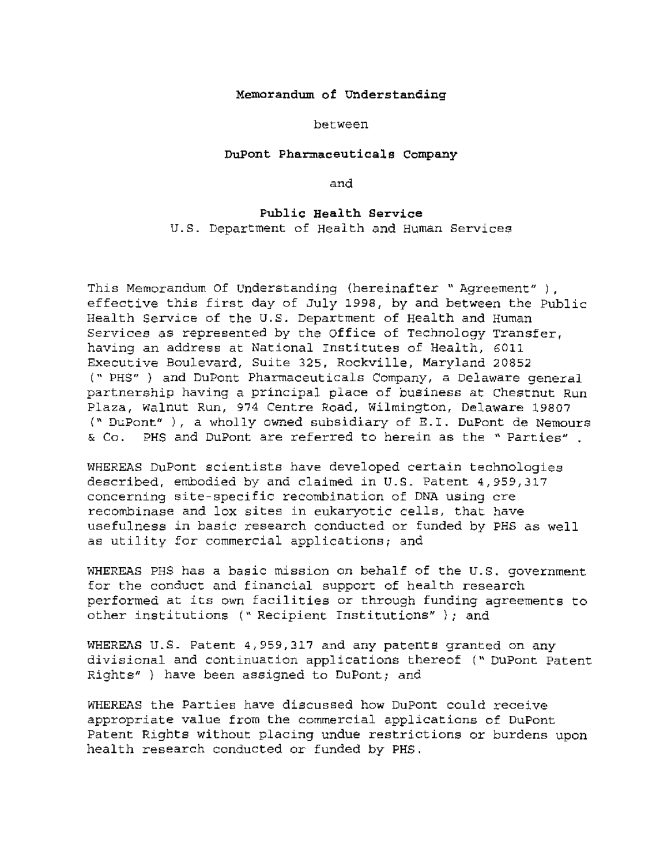## **Memorandum of understanding**

## between

## **DuPont Phar.maceuticals Company**

and

## **Public Health Service**

u.s. Department of Health and Human Services

This Memorandum Of Understanding (hereinafter " Agreement" ), effective this first day of July 1998, by and between the Public Health Service of the U.S. Department of Health and Human Services as represented by the Office of Technology Transfer, having an address at National Institutes of Health, 6011 Executive Boulevard, *Suite* 325, Rockville, Maryland 20852 (" PHS" ) and DuPont Pharmaceuticals Company, a Delaware general partnership having a principal place of business at Chestnut Run Plaza, walnut Run, 974 Centre Road, Wilmington, Delaware 19807 (" DuPont" ), a wholly owned subsidiary of E.l. DuPont de Nemours & Co. PHS and DuPont are referred to *herein* as the " Parties"

WHEREAS DuPont scientists have developed certain technologies described, embodied by and claimed *in* u.s. Patent 4,959,317 concerning site-specific recombination of DNA *using* ere recombinase and lox sites *in* eukaryotic cells, that have usefulness in basic research conducted or funded by PHS as well as utility for commercial applications; and

WHEREAS PHS has a basic mission on behalf of the u.s. government for the conduct and financial support of health research performed at its own facilities or through funding agreements to other institutions (" ReCipient Institutions" ); and

WHEREAS U.S. Patent 4,959,317 and any patents granted on any divisional and continuation applications thereof (" DuPont Patent Rights" ) have been assigned to DuPont; and

WHEREAS the Parties have discussed how DuPont could receive appropriate value from the commercial applications of DuPont Patent Rights without placing undue restrictions or burdens upon health research conducted or funded by PHS.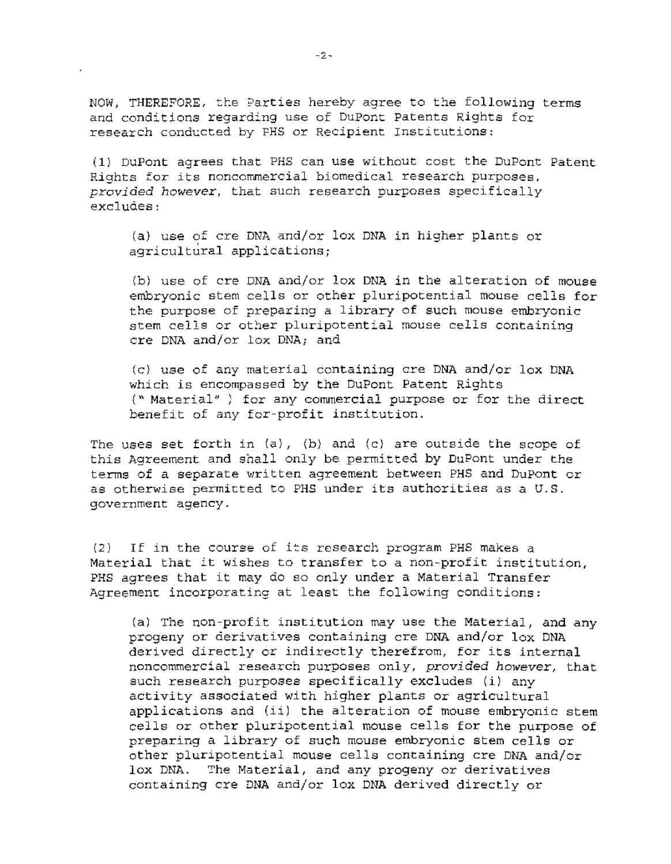NOW, THEREFORE, the Parties hereby agree to the following terms and conditions regarding use of DuPont Patents Rights for research conducted by FHS or Recipient Institutions:

(1) DuPont agrees that PHS can use without cost the DuPont Patent Rights for its noncommercial biomedical research purposes, *provided however,* that such research purposes specifically excludes:

(a) use of cre DNA and/or lox DNA in higher plants or agricultural applications;

(b) use of cre DNA and/or lox DNA in the alteration of mouse embryonic stem cells or other pluripotential mouse cells for the purpose of preparing a library of such mouse embryonic stem cells or other pluripotential mouse cells containing cre DNA and/or lox DNA; and

(c) use of any material containing cre DNA and/or lox DNA which is encompassed by the DuPont Patent Rights (" Material" ; for any *commercial* purpose or for the direct benefit of any for-profit institution.

The uses set forth in  $(a)$ ,  $(b)$  and  $(c)$  are outside the scope of *this* Agreement and shall only be permitted by DuPont under the terms of a separate written agreement between PHS and DuPont or as otherwise permitted to PHS under its authorities as a U.S. government agency.

 $(2)$  If in the course of its research program PHS makes a Material that it wishes to transfer to a non-profit institution, PHS agrees that it may do so only under a Material Transfer Agreement incorporating at least the following conditions:

(a) The non-profit institution may use the Material, and any progeny or derivatives containing cre DNA and/or lox DNA derived directly or indirectly therefrom, for its internal noncommercial research purposes only, *provided however,* that such research purposes specifically excludes *(i)* any activity associated with higher plants or agricultural applications and (ii) the alteration of mouse embryonic stem cells or other pluripotential mouse cells for the purpose of preparing a library of such mouse embryonic stem cells or other pluripotential mouse cells containing cre DNA and/or lox DNA. *The* Material, and any progeny or derivatives containing ere DNA and/or lox DNA derived directly or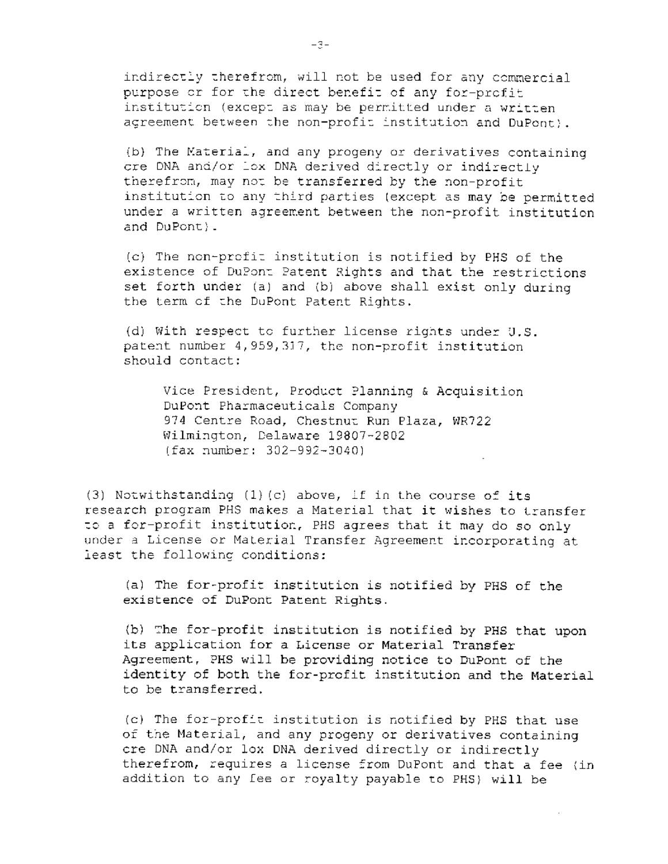indirectly therefrom, will not be used for any commercial purpose or for the direct benefit of any for-profit institution (except as may be permitted under a written agreement between the non-profit institution and DuPont).

(b) The Material, and any progeny or derivatives containing ore DNA and/or lox DNA derived directly or indirectly therefrom, may not be transferred by the non-profit institution to any third parties (except as may be permitted under a written agreement between the non-profit institution and DuPont).

(c) The non-profit institution is notified by PHS of the existence of DuPont Patent Rights and that the restrictions set forth under (a) and (b) above shall exist only during the term of the DuPont Patent Rights.

(d) With respect to further license rights under U.S. patent number 4,959,317, the non-profit institution should contact:

Vice President, Product Planning & Acquisition DuPont Pharmaceuticals Company 974 Centre Road, Chestnut Run Plaza, WR722 Wilmington, Delaware 19807-2802 (fax number: 302-992-3040)

(3) Notwithstanding  $(1)$  (c) above, if in the course of its research program PHS makes a Material that it wishes to transfer to a for-profit institution, PHS agrees that it may do so only under a License or Material Transfer Agreement incorporating at least the following conditions:

(a) The for-profit institution is notified by PHS of the existence of DuPont Patent Rights.

(b) The for-profit institution is notified by PHS that upon its application for a License or Material Transfer Agreement, PHS will be providing notice to DuPont of the identity of both the for-profit institution and the Material to be transferred.

(c) The for-profit institution is notified by PHS that use of the Material, and any progeny or derivatives containing cre DNA and/or lox DNA derived directly or indirectly therefrom, requires a license from DuPont and that a fee (in addition to any fee or royalty payable to PHS) will be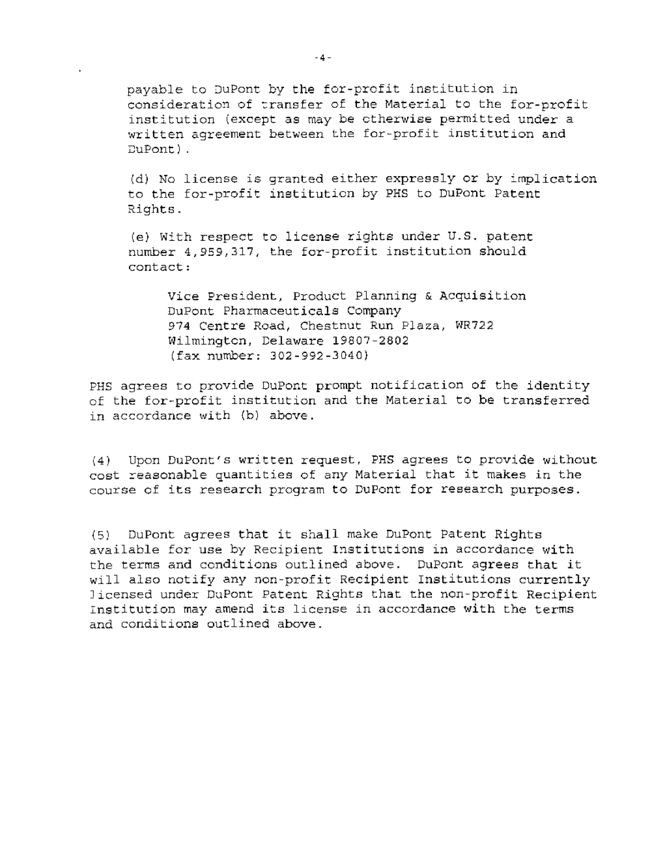payable to DuPont by the for-profit institution in consideration of transfer of the Material to the for-profit institution (except as may be otherwise permitted under a written agreement between the for-profit institution and lJuPont)

(d) No license is granted either expressly or by implication to the for-profit institution by PHS to DuPont Patent Rights.

(e) With respect to license rights under U.S. patent number 4,959,317, the for-profit institution should contact:

Vice President, Product Planning & Acquisition DuPont Pharmaceuticals Company 974 Centre Road, Chestnut Run Plaza, WR722 Wilmington, Delaware 19807-2802 (fax number: 302-992-3040)

PHS agrees to provide DuPont prompt notification of the identity of the for-profit institution and the Material to **be** transferred in accordance with (b) above.

(4) Upon DuPont's written request, PHS agrees to provide without cost reasonable quantities of any Material that it makes in the course of its research program to DuPont for research purposes.

(5) DuPont agrees that it shall make DuPont Patent Rights available for use by Recipient Institutions in accordance with the terms and conditions outlined above. DuPont agrees that *it*  will also notify any non-profit Recipient Institutions currently Jicensed under DuPont Patent Rights that the non-profit Recipient Institution may amend its license in accordance with the terms and conditions outlined above.